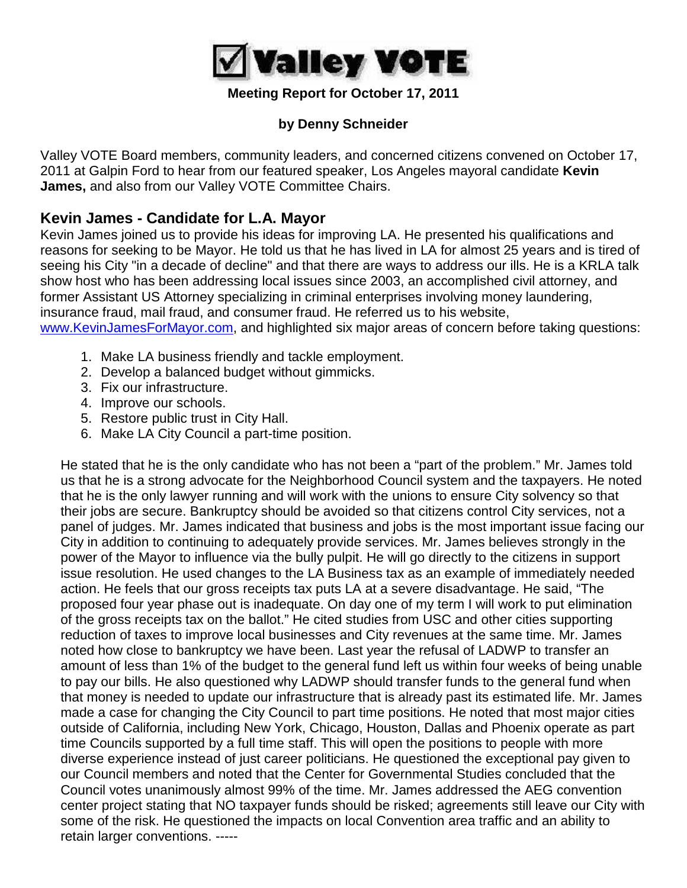

### **Meeting Report for October 17, 2011**

## **by Denny Schneider**

Valley VOTE Board members, community leaders, and concerned citizens convened on October 17, 2011 at Galpin Ford to hear from our featured speaker, Los Angeles mayoral candidate **Kevin James,** and also from our Valley VOTE Committee Chairs.

## **Kevin James - Candidate for L.A. Mayor**

Kevin James joined us to provide his ideas for improving LA. He presented his qualifications and reasons for seeking to be Mayor. He told us that he has lived in LA for almost 25 years and is tired of seeing his City "in a decade of decline" and that there are ways to address our ills. He is a KRLA talk show host who has been addressing local issues since 2003, an accomplished civil attorney, and former Assistant US Attorney specializing in criminal enterprises involving money laundering, insurance fraud, mail fraud, and consumer fraud. He referred us to his website, [www.KevinJamesForMayor.com,](http://www.kevinjamesformayor.com/) and highlighted six major areas of concern before taking questions:

- 1. Make LA business friendly and tackle employment.
- 2. Develop a balanced budget without gimmicks.
- 3. Fix our infrastructure.
- 4. Improve our schools.
- 5. Restore public trust in City Hall.
- 6. Make LA City Council a part-time position.

He stated that he is the only candidate who has not been a "part of the problem." Mr. James told us that he is a strong advocate for the Neighborhood Council system and the taxpayers. He noted that he is the only lawyer running and will work with the unions to ensure City solvency so that their jobs are secure. Bankruptcy should be avoided so that citizens control City services, not a panel of judges. Mr. James indicated that business and jobs is the most important issue facing our City in addition to continuing to adequately provide services. Mr. James believes strongly in the power of the Mayor to influence via the bully pulpit. He will go directly to the citizens in support issue resolution. He used changes to the LA Business tax as an example of immediately needed action. He feels that our gross receipts tax puts LA at a severe disadvantage. He said, "The proposed four year phase out is inadequate. On day one of my term I will work to put elimination of the gross receipts tax on the ballot." He cited studies from USC and other cities supporting reduction of taxes to improve local businesses and City revenues at the same time. Mr. James noted how close to bankruptcy we have been. Last year the refusal of LADWP to transfer an amount of less than 1% of the budget to the general fund left us within four weeks of being unable to pay our bills. He also questioned why LADWP should transfer funds to the general fund when that money is needed to update our infrastructure that is already past its estimated life. Mr. James made a case for changing the City Council to part time positions. He noted that most major cities outside of California, including New York, Chicago, Houston, Dallas and Phoenix operate as part time Councils supported by a full time staff. This will open the positions to people with more diverse experience instead of just career politicians. He questioned the exceptional pay given to our Council members and noted that the Center for Governmental Studies concluded that the Council votes unanimously almost 99% of the time. Mr. James addressed the AEG convention center project stating that NO taxpayer funds should be risked; agreements still leave our City with some of the risk. He questioned the impacts on local Convention area traffic and an ability to retain larger conventions. -----